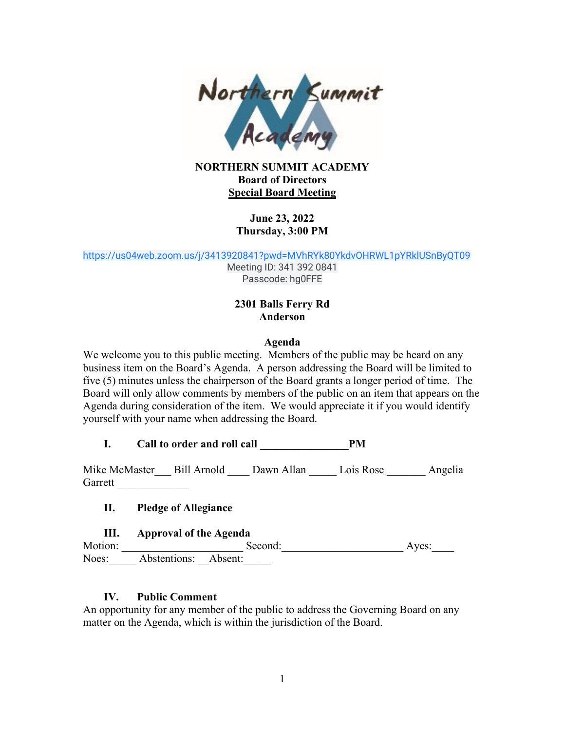

#### **NORTHERN SUMMIT ACADEMY Board of Directors Special Board Meeting**

# **June 23, 2022 Thursday, 3:00 PM**

[https://us04web.zoom.us/j/3413920841?pwd=MVhRYk80YkdvOHRWL1pYRklUSnByQT09](https://www.google.com/url?q=https://us04web.zoom.us/j/3413920841?pwd%3DMVhRYk80YkdvOHRWL1pYRklUSnByQT09&sa=D&source=calendar&ust=1656181564099506&usg=AOvVaw2qzr46fZaQzc0MCrQHqC0h)

Meeting ID: 341 392 0841 Passcode: hg0FFE

# **2301 Balls Ferry Rd Anderson**

#### **Agenda**

We welcome you to this public meeting. Members of the public may be heard on any business item on the Board's Agenda. A person addressing the Board will be limited to five (5) minutes unless the chairperson of the Board grants a longer period of time. The Board will only allow comments by members of the public on an item that appears on the Agenda during consideration of the item. We would appreciate it if you would identify yourself with your name when addressing the Board.

**I. Call to order and roll call \_\_\_\_\_\_\_\_\_\_\_\_\_\_\_\_PM** 

Mike McMaster\_\_\_ Bill Arnold \_\_\_\_ Dawn Allan \_\_\_\_\_ Lois Rose \_\_\_\_\_\_\_ Angelia Garrett

**II. Pledge of Allegiance**

## **III. Approval of the Agenda**

Motion: \_\_\_\_\_\_\_\_\_\_\_\_\_\_\_\_\_\_\_\_\_\_ Second:\_\_\_\_\_\_\_\_\_\_\_\_\_\_\_\_\_\_\_\_\_\_ Ayes:\_\_\_\_ Noes: Abstentions: Absent:

## **IV. Public Comment**

An opportunity for any member of the public to address the Governing Board on any matter on the Agenda, which is within the jurisdiction of the Board.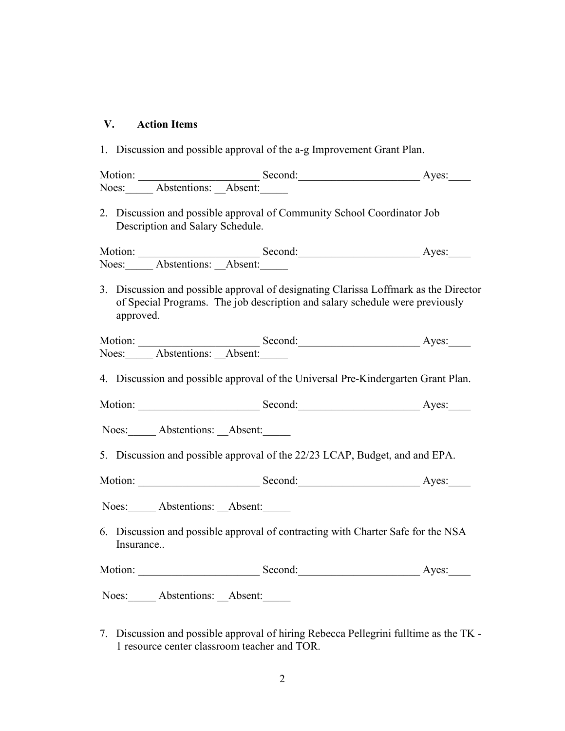#### **V. Action Items**

1. Discussion and possible approval of the a-g Improvement Grant Plan.

Motion: \_\_\_\_\_\_\_\_\_\_\_\_\_\_\_\_\_\_\_\_\_\_ Second:\_\_\_\_\_\_\_\_\_\_\_\_\_\_\_\_\_\_\_\_\_\_ Ayes:\_\_\_\_ Noes: Abstentions: Absent:

2. Discussion and possible approval of Community School Coordinator Job Description and Salary Schedule.

Motion: Second: Ayes: Noes: Abstentions: Absent:

3. Discussion and possible approval of designating Clarissa Loffmark as the Director of Special Programs. The job description and salary schedule were previously approved.

| Motion: |                            | Second: | Aves: |
|---------|----------------------------|---------|-------|
|         | Noes: Abstentions: Absent: |         |       |

4. Discussion and possible approval of the Universal Pre-Kindergarten Grant Plan.

Motion: Second: Ayes:

Noes: Abstentions: Absent:

5. Discussion and possible approval of the 22/23 LCAP, Budget, and and EPA.

Motion: \_\_\_\_\_\_\_\_\_\_\_\_\_\_\_\_\_\_\_\_\_\_ Second:\_\_\_\_\_\_\_\_\_\_\_\_\_\_\_\_\_\_\_\_\_\_ Ayes:\_\_\_\_

Noes: Abstentions: Absent:

6. Discussion and possible approval of contracting with Charter Safe for the NSA Insurance..

Motion: Second: Ayes:

Noes: Abstentions: Absent:

7. Discussion and possible approval of hiring Rebecca Pellegrini fulltime as the TK - 1 resource center classroom teacher and TOR.